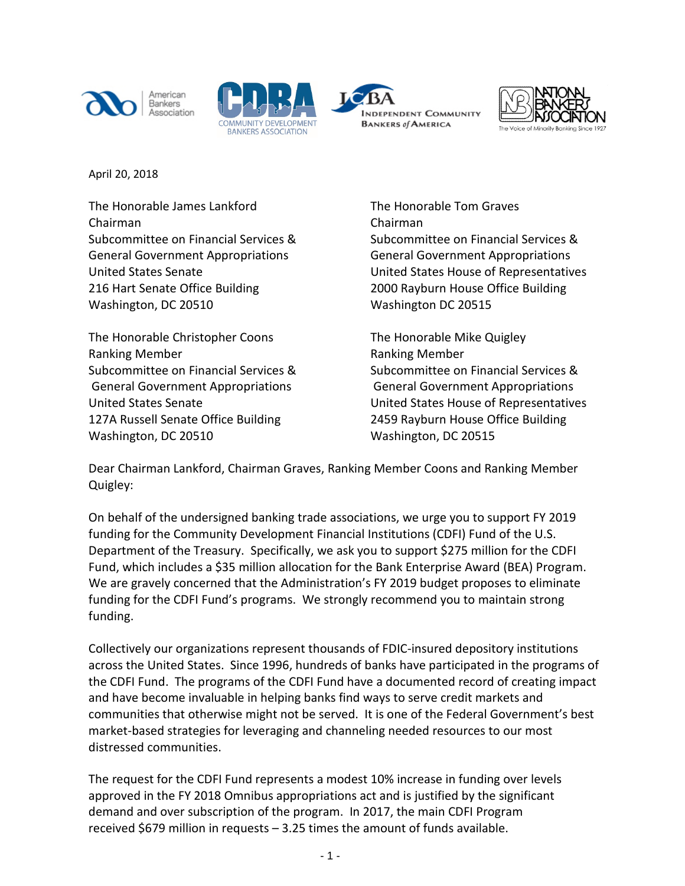







April 20, 2018

The Honorable James Lankford The Honorable Tom Graves Chairman Chairman General Government Appropriations General Government Appropriations 216 Hart Senate Office Building 2000 Rayburn House Office Building Washington, DC 20510 Washington DC 20515

The Honorable Christopher Coons The Honorable Mike Quigley Ranking Member **Ranking Member** Ranking Member General Government Appropriations General Government Appropriations 127A Russell Senate Office Building 2459 Rayburn House Office Building Washington, DC 20510 Washington, DC 20515

Subcommittee on Financial Services & Subcommittee on Financial Services & United States Senate United States House of Representatives

Subcommittee on Financial Services & Subcommittee on Financial Services & United States Senate United States House of Representatives

Dear Chairman Lankford, Chairman Graves, Ranking Member Coons and Ranking Member Quigley:

On behalf of the undersigned banking trade associations, we urge you to support FY 2019 funding for the Community Development Financial Institutions (CDFI) Fund of the U.S. Department of the Treasury. Specifically, we ask you to support \$275 million for the CDFI Fund, which includes a \$35 million allocation for the Bank Enterprise Award (BEA) Program. We are gravely concerned that the Administration's FY 2019 budget proposes to eliminate funding for the CDFI Fund's programs. We strongly recommend you to maintain strong funding.

Collectively our organizations represent thousands of FDIC-insured depository institutions across the United States. Since 1996, hundreds of banks have participated in the programs of the CDFI Fund. The programs of the CDFI Fund have a documented record of creating impact and have become invaluable in helping banks find ways to serve credit markets and communities that otherwise might not be served. It is one of the Federal Government's best market-based strategies for leveraging and channeling needed resources to our most distressed communities.

The request for the CDFI Fund represents a modest 10% increase in funding over levels approved in the FY 2018 Omnibus appropriations act and is justified by the significant demand and over subscription of the program. In 2017, the main CDFI Program received \$679 million in requests – 3.25 times the amount of funds available.